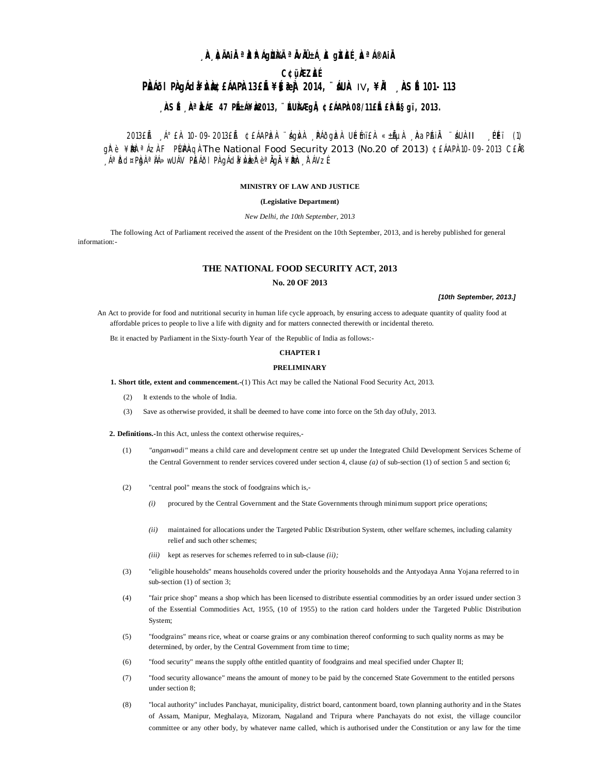# , À AIAIR <sup>a</sup> Araig**un**i airmhea, A gràis, A <sup>a Ao</sup>air

# **C¢üÀZÀÉ**

# PRIOL PROJACLA PROBLAAPRI3ELE ¥S 2014, "LUA IV, ¥RI RIS E 101-113

# , ÀSÉ, À LÁIE 47 PIEÁ¥À2013, ''ÉUNAEgIA, ¢£ÁAPÀ08/11£IÉ£ÀLÉSgï, 2013.

2013 LA A° EA 10-09-2013 LA CLÁAPIZA 'Agiva PAOgIZA ULEMIEA «±ALIA AQPAIA 'AUAII PEI (1) gìrè ¥**Bè**<sup>a</sup>ÁzÀF P[4P]AgÀThe National Food Security 2013 (No.20 of 2013) ¢£ÁAPÀ10-09-2013 C£ÀB ÁªĎd¤PÒgÀªÀÁ≫wUÁV PÈÁÕIPÀ gÁdâ¥ÀVÀBEÀº èªÀGÀ ¥ÈÐÀÞ , ĨFÁVZÉ

#### MINISTRY OF LAW AND JUSTICE

#### (Legislative Department)

New Delhi, the 10th September, 2013

The following Act of Parliament received the assent of the President on the 10th September, 2013, and is hereby published for general information:

# THE NATIONAL FOOD SECURITY ACT, 2013

# No. 20 OF 2013

#### [10th September, 2013.]

An Act to provide for food and nutritional security in human life cycle approach, by ensuring access to adequate quantity of quality food at affordable prices to people to live a life with dignity and for matters connected therewith or incidental thereto.

BE it enacted by Parliament in the Sixty-fourth Year of the Republic of India as follows:-

#### **CHAPTER I**

#### **PRELIMINARY**

1. Short title, extent and commencement.-(1) This Act may be called the National Food Security Act, 2013.

- It extends to the whole of India.  $(2)$
- $(3)$ Save as otherwise provided, it shall be deemed to have come into force on the 5th day of July, 2013.

2. Definitions.-In this Act, unless the context otherwise requires,-

- $(1)$ "anganwadi" means a child care and development centre set up under the Integrated Child Development Services Scheme of the Central Government to render services covered under section 4, clause (a) of sub-section (1) of section 5 and section 6;
- $(2)$ "central pool" means the stock of foodgrains which is,-
	- $(i)$ procured by the Central Government and the State Governments through minimum support price operations;
	- (ii) maintained for allocations under the Targeted Public Distribution System, other welfare schemes, including calamity relief and such other schemes:
	- (iii) kept as reserves for schemes referred to in sub-clause (ii);
- $(3)$ "eligible households" means households covered under the priority households and the Antyodaya Anna Yojana referred to in sub-section  $(1)$  of section 3;
- $(4)$ "fair price shop" means a shop which has been licensed to distribute essential commodities by an order issued under section 3 of the Essential Commodities Act, 1955, (10 of 1955) to the ration card holders under the Targeted Public Distribution System;
- "foodgrains" means rice, wheat or coarse grains or any combination thereof conforming to such quality norms as may be  $(5)$ determined, by order, by the Central Government from time to time;
- $(6)$ "food security" means the supply of the entitled quantity of foodgrains and meal specified under Chapter II;
- $(7)$ "food security allowance" means the amount of money to be paid by the concerned State Government to the entitled persons under section 8;
- "local authority" includes Panchayat, municipality, district board, cantonment board, town planning authority and in the States  $(8)$ of Assam, Manipur, Meghalaya, Mizoram, Nagaland and Tripura where Panchayats do not exist, the village councilor committee or any other body, by whatever name called, which is authorised under the Constitution or any law for the time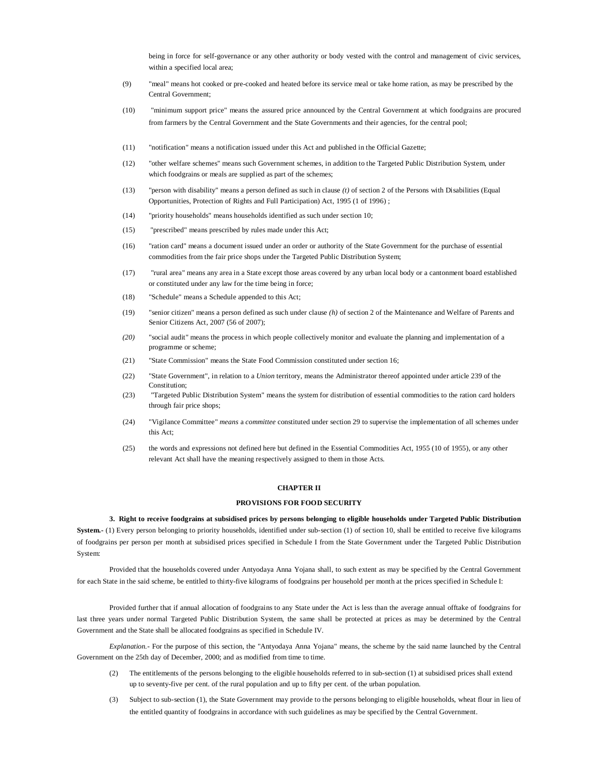being in force for self-governance or any other authority or body vested with the control and management of civic services, within a specified local area;

- (9) "meal" means hot cooked or pre-cooked and heated before its service meal or take home ration, as may be prescribed by the Central Government;
- (10) "minimum support price" means the assured price announced by the Central Government at which foodgrains are procured from farmers by the Central Government and the State Governments and their agencies, for the central pool;
- (11) "notification" means a notification issued under this Act and published in the Official Gazette;
- (12) "other welfare schemes" means such Government schemes, in addition to the Targeted Public Distribution System, under which foodgrains or meals are supplied as part of the schemes;
- (13) "person with disability" means a person defined as such in clause *(t)* of section 2 of the Persons with Disabilities (Equal Opportunities, Protection of Rights and Full Participation) Act, 1995 (1 of 1996) ;
- (14) "priority households" means households identified as such under section 10;
- (15) "prescribed" means prescribed by rules made under this Act;
- (16) "ration card" means a document issued under an order or authority of the State Government for the purchase of essential commodities from the fair price shops under the Targeted Public Distribution System;
- (17) "rural area" means any area in a State except those areas covered by any urban local body or a cantonment board established or constituted under any law for the time being in force;
- (18) "Schedule" means a Schedule appended to this Act;
- (19) "senior citizen" means a person defined as such under clause *(h)* of section 2 of the Maintenance and Welfare of Parents and Senior Citizens Act, 2007 (56 of 2007);
- *(20)* "social audit" means the process in which people collectively monitor and evaluate the planning and implementation of a programme or scheme;
- (21) "State Commission" means the State Food Commission constituted under section 16;
- (22) "State Government", in relation to a *Union* territory, means the Administrator thereof appointed under article 239 of the Constitution<sup>.</sup>
- (23) "Targeted Public Distribution System" means the system for distribution of essential commodities to the ration card holders through fair price shops;
- (24) "Vigilance Committee" *means* a *committee* constituted under section 29 to supervise the implementation of all schemes under this Act;
- (25) the words and expressions not defined here but defined in the Essential Commodities Act, 1955 (10 of 1955), or any other relevant Act shall have the meaning respectively assigned to them in those Acts.

# **CHAPTER II**

#### **PROVISIONS FOR FOOD SECURITY**

**3. Right to receive foodgrains at subsidised prices by persons belonging to eligible households under Targeted Public Distribution System.-** (1) Every person belonging to priority households, identified under sub-section (1) of section 10, shall be entitled to receive five kilograms of foodgrains per person per month at subsidised prices specified in Schedule I from the State Government under the Targeted Public Distribution System:

Provided that the households covered under Antyodaya Anna Yojana shall, to such extent as may be specified by the Central Government for each State in the said scheme, be entitled to thirty-five kilograms of foodgrains per household per month at the prices specified in Schedule I:

Provided further that if annual allocation of foodgrains to any State under the Act is less than the average annual offtake of foodgrains for last three years under normal Targeted Public Distribution System, the same shall be protected at prices as may be determined by the Central Government and the State shall be allocated foodgrains as specified in Schedule IV.

*Explanation.-* For the purpose of this section, the "Antyodaya Anna Yojana" means, the scheme by the said name launched by the Central Government on the 25th day of December, 2000; and as modified from time to time.

- (2) The entitlements of the persons belonging to the eligible households referred to in sub-section (1) at subsidised prices shall extend up to seventy-five per cent. of the rural population and up to fifty per cent. of the urban population.
- (3) Subject to sub-section (1), the State Government may provide to the persons belonging to eligible households, wheat flour in lieu of the entitled quantity of foodgrains in accordance with such guidelines as may be specified by the Central Government.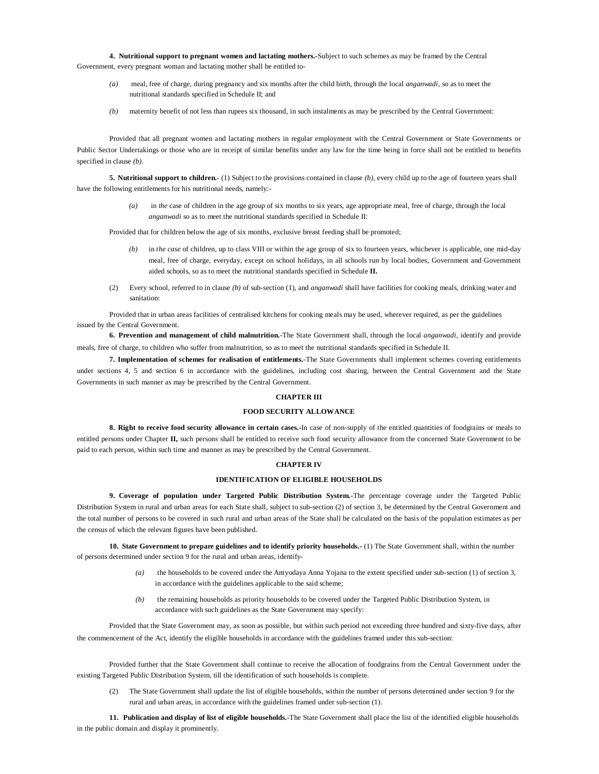**4. Nutritional support to pregnant women and lactating mothers.-**Subject to such schemes as may be framed by the Central Government, every pregnant woman and lactating mother shall be entitled to-

- *(a)* meal, free of charge, during pregnancy and six months after the child birth, through the local *anganwadi,* so as to meet the nutritional standards specified in Schedule II; and
- *(b)* maternity benefit of not less than rupees six thousand, in such instalments as may be prescribed by the Central Government:

Provided that all pregnant women and lactating mothers in regular employment with the Central Government or State Governments or Public Sector Undertakings or those who are in receipt of similar benefits under any law for the time being in force shall not be entitled to benefits specified in clause *(b).*

**5. Nutritional support to children.**- (1) Subject to the provisions contained in clause *(b),* every child up to the age of fourteen years shall have the following entitlements for his nutritional needs, namely:-

> *(a)* in *the* case of children in the age group of six months to six years, age appropriate meal, free of charge, through the local *anganwadi* so as to meet the nutritional standards specified in Schedule II:

Provided that for children below the age of six months, exclusive breast feeding shall be promoted;

- *(b)* in *the case* of children, up to class VIII or within the age group of six to fourteen years, whichever is applicable, one mid-day meal, free of charge, everyday, except on school holidays, in all schools run by local bodies, Government and Government aided schools, so as to meet the nutritional standards specified in Schedule **II.**
- (2) Every school, referred to in clause *(b)* of sub-section (1), and *anganwadi* shall have facilities for cooking meals, drinking water and sanitation:

Provided that in urban areas facilities of centralised kitchens for cooking meals may be used, wherever required, as per the guidelines issued by the Central Government.

**6. Prevention and management of child malnutrition.**-The State Government shall, through the local *anganwadi,* identify and provide meals, free of charge, to children who suffer from malnutrition, so as to meet the nutritional standards specified in Schedule II.

**7. Implementation of schemes for realisation of entitlements.**-The State Governments shall implement schemes covering entitlements under sections 4, 5 and section 6 in accordance with the guidelines, including cost sharing, between the Central Government and the State Governments in such manner as may be prescribed by the Central Government.

#### **CHAPTER III**

#### **FOOD SECURITY ALLOWANCE**

**8. Right to receive food security allowance in certain cases.-**In case of non-supply of the entitled quantities of foodgrains or meals to entitled persons under Chapter **II,** such persons shall be entitled to receive such food security allowance from the concerned State Government to be paid to each person, within such time and manner as may be prescribed by the Central Government.

#### **CHAPTER IV**

#### **IDENTIFICATION OF ELIGIBLE HOUSEHOLDS**

**9. Coverage of population under Targeted Public Distribution System.-**The percentage coverage under the Targeted Public Distribution System in rural and urban areas for each State shall, subject to sub-section (2) of section 3, be determined by the Central Government and the total number of persons to be covered in such rural and urban areas of the State shall be calculated on the basis of the population estimates as per the census of which the relevant figures have been published.

**10. State Government to prepare guidelines and to identify priority households.-** (1) The State Government shall, within the number of persons determined under section 9 for the rural and urban areas, identify-

- *(a)* the households to be covered under the Antyodaya Anna Yojana to the extent specified under sub-section (1) of section 3, in accordance with the guidelines applicable to the said scheme;
- *(b)* the remaining households as priority households to be covered under the Targeted Public Distribution System, in accordance with such guidelines as the State Government may specify:

Provided that the State Government may, as soon as possible, but within such period not exceeding three hundred and sixty-five days, after the commencement of the Act, identify the eligible households in accordance with the guidelines framed under this sub-section:

Provided further that the State Government shall continue to receive the allocation of foodgrains from the Central Government under the existing Targeted Public Distribution System, till the identification of such households is complete.

(2) The State Government shall update the list of eligible households, within the number of persons determined under section 9 for the rural and urban areas, in accordance with the guidelines framed under sub-section (1).

**11. Publication and display of list of eligible households.-**The State Government shall place the list of the identified eligible households in the public domain and display it prominently.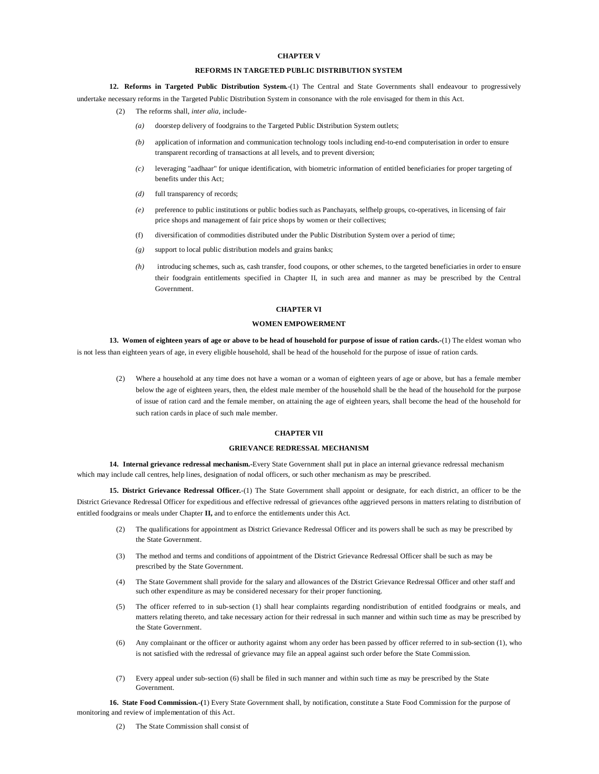#### **CHAPTER V**

# **REFORMS IN TARGETED PUBLIC DISTRIBUTION SYSTEM**

**12. Reforms in Targeted Public Distribution System.**-(1) The Central and State Governments shall endeavour to progressively undertake necessary reforms in the Targeted Public Distribution System in consonance with the role envisaged for them in this Act.

- (2) The reforms shall, *inter alia,* include
	- doorstep delivery of foodgrains to the Targeted Public Distribution System outlets;
	- *(b)* application of information and communication technology tools including end-to-end computerisation in order to ensure transparent recording of transactions at all levels, and to prevent diversion;
	- *(c)* leveraging "aadhaar" for unique identification, with biometric information of entitled beneficiaries for proper targeting of benefits under this Act;
	- *(d)* full transparency of records;
	- *(e)* preference to public institutions or public bodies such as Panchayats, selfhelp groups, co-operatives, in licensing of fair price shops and management of fair price shops by women or their collectives;
	- (f) diversification of commodities distributed under the Public Distribution System over a period of time;
	- *(g)* support to local public distribution models and grains banks;
	- *(h)* introducing schemes, such as, cash transfer, food coupons, or other schemes, to the targeted beneficiaries in order to ensure their foodgrain entitlements specified in Chapter II, in such area and manner as may be prescribed by the Central Government.

#### **CHAPTER VI**

# **WOMEN EMPOWERMENT**

**13. Women of eighteen years of age or above to be head of household for purpose of issue of ration cards.-**(1) The eldest woman who is not less than eighteen years of age, in every eligible household, shall be head of the household for the purpose of issue of ration cards.

(2) Where a household at any time does not have a woman or a woman of eighteen years of age or above, but has a female member below the age of eighteen years, then, the eldest male member of the household shall be the head of the household for the purpose of issue of ration card and the female member, on attaining the age of eighteen years, shall become the head of the household for such ration cards in place of such male member.

#### **CHAPTER VII**

#### **GRIEVANCE REDRESSAL MECHANISM**

**14. Internal grievance redressal mechanism.-**Every State Government shall put in place an internal grievance redressal mechanism which may include call centres, help lines, designation of nodal officers, or such other mechanism as may be prescribed.

**15. District Grievance Redressal Officer.**-(1) The State Government shall appoint or designate, for each district, an officer to be the District Grievance Redressal Officer for expeditious and effective redressal of grievances ofthe aggrieved persons in matters relating to distribution of entitled foodgrains or meals under Chapter **II,** and to enforce the entitlements under this Act.

- (2) The qualifications for appointment as District Grievance Redressal Officer and its powers shall be such as may be prescribed by the State Government.
- (3) The method and terms and conditions of appointment of the District Grievance Redressal Officer shall be such as may be prescribed by the State Government.
- (4) The State Government shall provide for the salary and allowances of the District Grievance Redressal Officer and other staff and such other expenditure as may be considered necessary for their proper functioning.
- (5) The officer referred to in sub-section (1) shall hear complaints regarding nondistribution of entitled foodgrains or meals, and matters relating thereto, and take necessary action for their redressal in such manner and within such time as may be prescribed by the State Government.
- (6) Any complainant or the officer or authority against whom any order has been passed by officer referred to in sub-section (1), who is not satisfied with the redressal of grievance may file an appeal against such order before the State Commission.
- (7) Every appeal under sub-section (6) shall be filed in such manner and within such time as may be prescribed by the State Government.

**16. State Food Commission.-(**1) Every State Government shall, by notification, constitute a State Food Commission for the purpose of monitoring and review of implementation of this Act.

(2) The State Commission shall consist of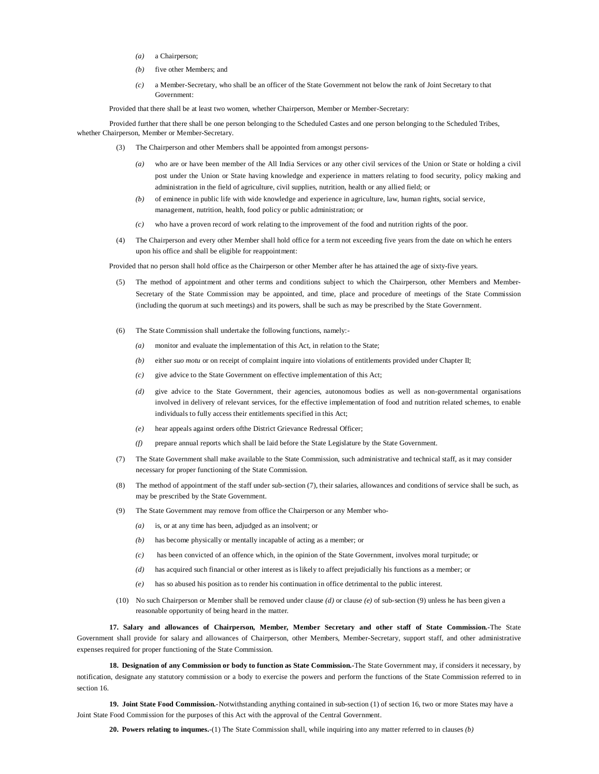- *(a)* a Chairperson;
- *(b)* five other Members; and
- *(c)* a Member-Secretary, who shall be an officer of the State Government not below the rank of Joint Secretary to that Government:

Provided that there shall be at least two women, whether Chairperson, Member or Member-Secretary:

Provided further that there shall be one person belonging to the Scheduled Castes and one person belonging to the Scheduled Tribes, whether Chairperson, Member or Member-Secretary.

- (3) The Chairperson and other Members shall be appointed from amongst persons-
	- *(a)* who are or have been member of the All India Services or any other civil services of the Union or State or holding a civil post under the Union or State having knowledge and experience in matters relating to food security, policy making and administration in the field of agriculture, civil supplies, nutrition, health or any allied field; or
	- *(b)* of eminence in public life with wide knowledge and experience in agriculture, law, human rights, social service, management, nutrition, health, food policy or public administration; or
	- *(c)* who have a proven record of work relating to the improvement of the food and nutrition rights of the poor.
- (4) The Chairperson and every other Member shall hold office for a term not exceeding five years from the date on which he enters upon his office and shall be eligible for reappointment:

Provided that no person shall hold office as the Chairperson or other Member after he has attained the age of sixty-five years.

- (5) The method of appointment and other terms and conditions subject to which the Chairperson, other Members and Member-Secretary of the State Commission may be appointed, and time, place and procedure of meetings of the State Commission (including the quorum at such meetings) and its powers, shall be such as may be prescribed by the State Government.
- (6) The State Commission shall undertake the following functions, namely:-
	- *(a)* monitor and evaluate the implementation of this Act, in relation to the State;
	- *(b)* either *suo motu* or on receipt of complaint inquire into violations of entitlements provided under Chapter II;
	- *(c)* give advice to the State Government on effective implementation of this Act;
	- *(d)* give advice to the State Government, their agencies, autonomous bodies as well as non-governmental organisations involved in delivery of relevant services, for the effective implementation of food and nutrition related schemes, to enable individuals to fully access their entitlements specified in this Act;
	- *(e)* hear appeals against orders ofthe District Grievance Redressal Officer;
	- *(f)* prepare annual reports which shall be laid before the State Legislature by the State Government.
- (7) The State Government shall make available to the State Commission, such administrative and technical staff, as it may consider necessary for proper functioning of the State Commission.
- (8) The method of appointment of the staff under sub-section (7), their salaries, allowances and conditions of service shall be such, as may be prescribed by the State Government.
- (9) The State Government may remove from office the Chairperson or any Member who-
	- *(a)* is, or at any time has been, adjudged as an insolvent; or
	- *(b)* has become physically or mentally incapable of acting as a member; or
	- *(c)* has been convicted of an offence which, in the opinion of the State Government, involves moral turpitude; or
	- *(d)* has acquired such financial or other interest as is likely to affect prejudicially his functions as a member; or
	- *(e)* has so abused his position as to render his continuation in office detrimental to the public interest.
- (10) No such Chairperson or Member shall be removed under clause *(d)* or clause *(e)* of sub-section (9) unless he has been given a reasonable opportunity of being heard in the matter.

**17. Salary and allowances of Chairperson, Member, Member Secretary and other staff of State Commission.-**The State Government shall provide for salary and allowances of Chairperson, other Members, Member-Secretary, support staff, and other administrative expenses required for proper functioning of the State Commission.

**18. Designation of any Commission or body to function as State Commission.-**The State Government may, if considers it necessary, by notification, designate any statutory commission or a body to exercise the powers and perform the functions of the State Commission referred to in section 16.

**19. Joint State Food Commission.**-Notwithstanding anything contained in sub-section (1) of section 16, two or more States may have a Joint State Food Commission for the purposes of this Act with the approval of the Central Government.

**20. Powers relating to inqumes.**-(1) The State Commission shall, while inquiring into any matter referred to in clauses *(b)*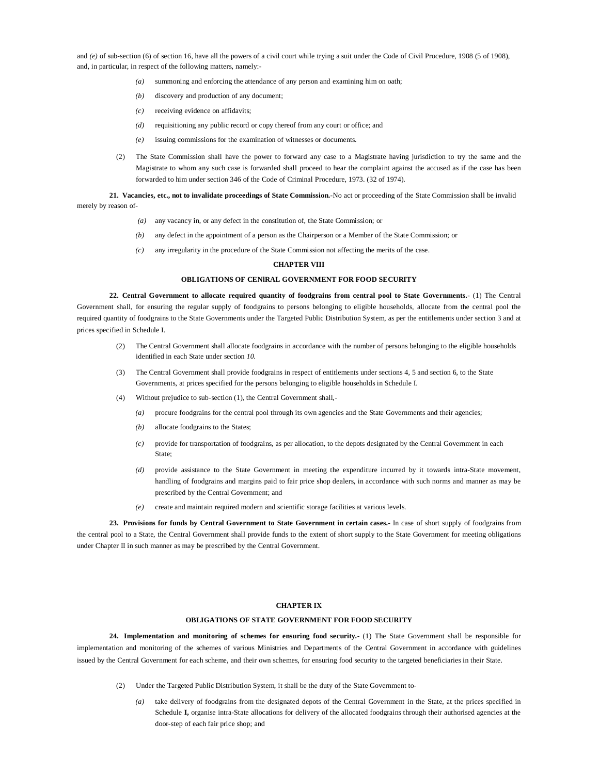and *(e)* of sub-section (6) of section 16, have all the powers of a civil court while trying a suit under the Code of Civil Procedure, 1908 (5 of 1908), and, in particular, in respect of the following matters, namely:-

- *(a)* summoning and enforcing the attendance of any person and examining him on oath;
- *(b)* discovery and production of any document;
- *(c)* receiving evidence on affidavits;
- *(d)* requisitioning any public record or copy thereof from any court or office; and
- *(e)* issuing commissions for the examination of witnesses or documents.
- (2) The State Commission shall have the power to forward any case to a Magistrate having jurisdiction to try the same and the Magistrate to whom any such case is forwarded shall proceed to hear the complaint against the accused as if the case has been forwarded to him under section 346 of the Code of Criminal Procedure, 1973. (32 of 1974).

**21. Vacancies, etc., not to invalidate proceedings of State Commission.**-No act or proceeding of the State Commission shall be invalid merely by reason of-

- *(a)* any vacancy in, or any defect in the constitution of, the State Commission; or
- *(b)* any defect in the appointment of a person as the Chairperson or a Member of the State Commission; or
- *(c)* any irregularity in the procedure of the State Commission not affecting the merits of the case.

# **CHAPTER VIII**

# **OBLIGATIONS OF CENlRAL GOVERNMENT FOR FOOD SECURITY**

**22. Central Government to allocate required quantity of foodgrains from central pool to State Governments.**- (1) The Central Government shall, for ensuring the regular supply of foodgrains to persons belonging to eligible households, allocate from the central pool the required quantity of foodgrains to the State Governments under the Targeted Public Distribution System, as per the entitlements under section 3 and at prices specified in Schedule I.

- (2) The Central Government shall allocate foodgrains in accordance with the number of persons belonging to the eligible households identified in each State under section *10.*
- (3) The Central Government shall provide foodgrains in respect of entitlements under sections 4, 5 and section 6, to the State Governments, at prices specified for the persons belonging to eligible households in Schedule I.
- (4) Without prejudice to sub-section (1), the Central Government shall,-
	- *(a)* procure foodgrains for the central pool through its own agencies and the State Governments and their agencies;
	- *(b)* allocate foodgrains to the States;
	- *(c)* provide for transportation of foodgrains, as per allocation, to the depots designated by the Central Government in each State;
	- *(d)* provide assistance to the State Government in meeting the expenditure incurred by it towards intra-State movement, handling of foodgrains and margins paid to fair price shop dealers, in accordance with such norms and manner as may be prescribed by the Central Government; and
	- *(e)* create and maintain required modern and scientific storage facilities at various levels.

**23. Provisions for funds by Central Government to State Government in certain cases.-** In case of short supply of foodgrains from the central pool to a State, the Central Government shall provide funds to the extent of short supply to the State Government for meeting obligations under Chapter II in such manner as may be prescribed by the Central Government.

#### **CHAPTER IX**

#### **OBLIGATIONS OF STATE GOVERNMENT FOR FOOD SECURITY**

**24. Implementation and monitoring of schemes for ensuring food security.-** (1) The State Government shall be responsible for implementation and monitoring of the schemes of various Ministries and Departments of the Central Government in accordance with guidelines issued by the Central Government for each scheme, and their own schemes, for ensuring food security to the targeted beneficiaries in their State.

- (2) Under the Targeted Public Distribution System, it shall be the duty of the State Government to-
	- *(a)* take delivery of foodgrains from the designated depots of the Central Government in the State, at the prices specified in Schedule **I,** organise intra-State allocations for delivery of the allocated foodgrains through their authorised agencies at the door-step of each fair price shop; and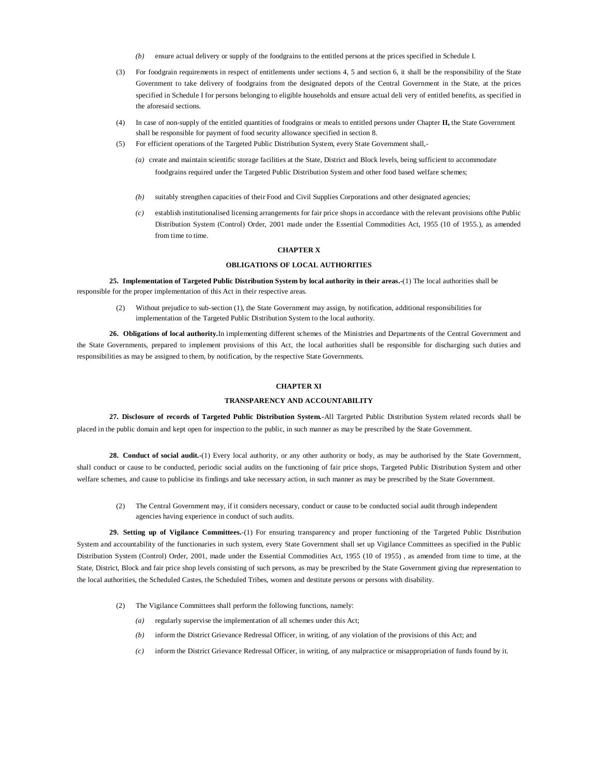- *(b)* ensure actual delivery or supply of the foodgrains to the entitled persons at the prices specified in Schedule I.
- (3) For foodgrain requirements in respect of entitlements under sections 4, 5 and section 6, it shall be the responsibility of the State Government to take delivery of foodgrains from the designated depots of the Central Government in the State, at the prices specified in Schedule I for persons belonging to eligible households and ensure actual deli very of entitled benefits, as specified in the aforesaid sections.
- (4) In case of non-supply of the entitled quantities of foodgrains or meals to entitled persons under Chapter **II,** the State Government shall be responsible for payment of food security allowance specified in section 8.
- (5) For efficient operations of the Targeted Public Distribution System, every State Government shall,-
	- *(a)* create and maintain scientific storage facilities at the State, District and Block levels, being sufficient to accommodate foodgrains required under the Targeted Public Distribution System and other food based welfare schemes;
	- *(b)* suitably strengthen capacities of their Food and Civil Supplies Corporations and other designated agencies;
	- *(c)* establish institutionalised licensing arrangements for fair price shops in accordance with the relevant provisions ofthe Public Distribution System (Control) Order, 2001 made under the Essential Commodities Act, 1955 (10 of 1955.), as amended from time to time.

#### **CHAPTER X**

#### **OBLIGATIONS OF LOCAL AUTHORITIES**

**25. Implementation of Targeted Public Distribution System by local authority in their areas.-**(1) The local authorities shall be responsible for the proper implementation of this Act in their respective areas.

(2) Without prejudice to sub-section (1), the State Government may assign, by notification, additional responsibilities for implementation of the Targeted Public Distribution System to the local authority.

**26. Obligations of local authority.**In implementing different schemes of the Ministries and Departments of the Central Government and the State Governments, prepared to implement provisions of this Act, the local authorities shall be responsible for discharging such duties and responsibilities as may be assigned to them, by notification, by the respective State Governments.

# **CHAPTER XI**

#### **TRANSPARENCY AND ACCOUNTABILITY**

**27. Disclosure of records of Targeted Public Distribution System.-**All Targeted Public Distribution System related records shall be placed in the public domain and kept open for inspection to the public, in such manner as may be prescribed by the State Government.

**28. Conduct of social audit.-**(1) Every local authority, or any other authority or body, as may be authorised by the State Government, shall conduct or cause to be conducted, periodic social audits on the functioning of fair price shops, Targeted Public Distribution System and other welfare schemes, and cause to publicise its findings and take necessary action, in such manner as may be prescribed by the State Government.

(2) The Central Government may, if it considers necessary, conduct or cause to be conducted social audit through independent agencies having experience in conduct of such audits.

**29. Setting up of Vigilance Committees.**-(1) For ensuring transparency and proper functioning of the Targeted Public Distribution System and accountability of the functionaries in such system, every State Government shall set up Vigilance Committees as specified in the Public Distribution System (Control) Order, 2001, made under the Essential Commodities Act, 1955 (10 of 1955) , as amended from time to time, at the State, District, Block and fair price shop levels consisting of such persons, as may be prescribed by the State Government giving due representation to the local authorities, the Scheduled Castes, the Scheduled Tribes, women and destitute persons or persons with disability.

- (2) The Vigilance Committees shall perform the following functions, namely:
	- *(a)* regularly supervise the implementation of all schemes under this Act;
	- *(b)* inform the District Grievance Redressal Officer, in writing, of any violation of the provisions of this Act; and
	- *(c)* inform the District Grievance Redressal Officer, in writing, of any malpractice or misappropriation of funds found by it.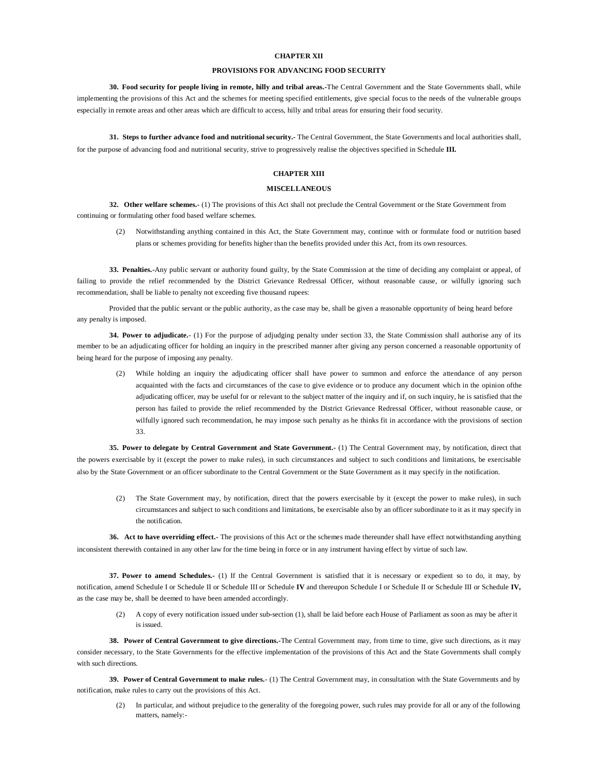#### **CHAPTER XII**

#### **PROVISIONS FOR ADVANCING FOOD SECURITY**

**30. Food security for people living in remote, hilly and tribal areas.-**The Central Government and the State Governments shall, while implementing the provisions of this Act and the schemes for meeting specified entitlements, give special focus to the needs of the vulnerable groups especially in remote areas and other areas which are difficult to access, hilly and tribal areas for ensuring their food security.

**31. Steps to further advance food and nutritional security.-** The Central Government, the State Governments and local authorities shall, for the purpose of advancing food and nutritional security, strive to progressively realise the objectives specified in Schedule **III.**

# **CHAPTER XIII**

#### **MISCELLANEOUS**

**32. Other welfare schemes.-** (1) The provisions of this Act shall not preclude the Central Government or the State Government from continuing or formulating other food based welfare schemes.

(2) Notwithstanding anything contained in this Act, the State Government may, continue with or formulate food or nutrition based plans or schemes providing for benefits higher than the benefits provided under this Act, from its own resources.

**33. Penalties.-**Any public servant or authority found guilty, by the State Commission at the time of deciding any complaint or appeal, of failing to provide the relief recommended by the District Grievance Redressal Officer, without reasonable cause, or wilfully ignoring such recommendation, shall be liable to penalty not exceeding five thousand rupees:

Provided that the public servant or the public authority, as the case may be, shall be given a reasonable opportunity of being heard before any penalty is imposed.

**34. Power to adjudicate.**- (1) For the purpose of adjudging penalty under section 33, the State Commission shall authorise any of its member to be an adjudicating officer for holding an inquiry in the prescribed manner after giving any person concerned a reasonable opportunity of being heard for the purpose of imposing any penalty.

(2) While holding an inquiry the adjudicating officer shall have power to summon and enforce the attendance of any person acquainted with the facts and circumstances of the case to give evidence or to produce any document which in the opinion ofthe adjudicating officer, may be useful for or relevant to the subject matter of the inquiry and if, on such inquiry, he is satisfied that the person has failed to provide the relief recommended by the District Grievance Redressal Officer, without reasonable cause, or wilfully ignored such recommendation, he may impose such penalty as he thinks fit in accordance with the provisions of section 33.

**35. Power to delegate by Central Government and State Government.-** (1) The Central Government may, by notification, direct that the powers exercisable by it (except the power to make rules), in such circumstances and subject to such conditions and limitations, be exercisable also by the State Government or an officer subordinate to the Central Government or the State Government as it may specify in the notification.

(2) The State Government may, by notification, direct that the powers exercisable by it (except the power to make rules), in such circumstances and subject to such conditions and limitations, be exercisable also by an officer subordinate to it as it may specify in the notification.

**36. Act to have overriding effect.-** The provisions of this Act or the schemes made thereunder shall have effect notwithstanding anything inconsistent therewith contained in any other law for the time being in force or in any instrument having effect by virtue of such law.

**37. Power to amend Schedules.-** (1) If the Central Government is satisfied that it is necessary or expedient so to do, it may, by notification, amend Schedule I or Schedule II or Schedule III or Schedule IV and thereupon Schedule I or Schedule III or Schedule IV, as the case may be, shall be deemed to have been amended accordingly.

(2) A copy of every notification issued under sub-section (1), shall be laid before each House of Parliament as soon as may be after it is issued.

**38. Power of Central Government to give directions.-**The Central Government may, from time to time, give such directions, as it may consider necessary, to the State Governments for the effective implementation of the provisions of this Act and the State Governments shall comply with such directions.

**39. Power of Central Government to make rules.**- (1) The Central Government may, in consultation with the State Governments and by notification, make rules to carry out the provisions of this Act.

(2) In particular, and without prejudice to the generality of the foregoing power, such rules may provide for all or any of the following matters, namely:-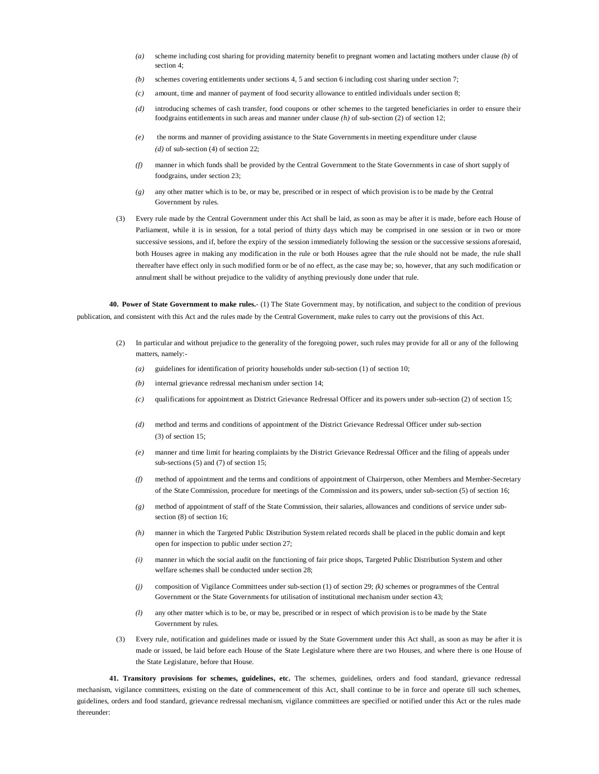- *(a)* scheme including cost sharing for providing maternity benefit to pregnant women and lactating mothers under clause *(b)* of section 4:
- *(b)* schemes covering entitlements under sections 4, 5 and section 6 including cost sharing under section 7;
- *(c)* amount, time and manner of payment of food security allowance to entitled individuals under section 8;
- *(d)* introducing schemes of cash transfer, food coupons or other schemes to the targeted beneficiaries in order to ensure their foodgrains entitlements in such areas and manner under clause *(h)* of sub-section (2) of section 12;
- *(e)* the norms and manner of providing assistance to the State Governments in meeting expenditure under clause *(d)* of sub-section (4) of section 22;
- *(f)* manner in which funds shall be provided by the Central Government to the State Governments in case of short supply of foodgrains, under section 23;
- *(g)* any other matter which is to be, or may be, prescribed or in respect of which provision is to be made by the Central Government by rules.
- (3) Every rule made by the Central Government under this Act shall be laid, as soon as may be after it is made, before each House of Parliament, while it is in session, for a total period of thirty days which may be comprised in one session or in two or more successive sessions, and if, before the expiry of the session immediately following the session or the successive sessions aforesaid, both Houses agree in making any modification in the rule or both Houses agree that the rule should not be made, the rule shall thereafter have effect only in such modified form or be of no effect, as the case may be; so, however, that any such modification or annulment shall be without prejudice to the validity of anything previously done under that rule.

**40. Power of State Government to make rules.**- (1) The State Government may, by notification, and subject to the condition of previous publication, and consistent with this Act and the rules made by the Central Government, make rules to carry out the provisions of this Act.

- (2) In particular and without prejudice to the generality of the foregoing power, such rules may provide for all or any of the following matters, namely:-
	- *(a)* guidelines for identification of priority households under sub-section (1) of section 10;
	- *(b)* internal grievance redressal mechanism under section 14;
	- *(c)* qualifications for appointment as District Grievance Redressal Officer and its powers under sub-section (2) of section 15;
	- *(d)* method and terms and conditions of appointment of the District Grievance Redressal Officer under sub-section (3) of section 15;
	- *(e)* manner and time limit for hearing complaints by the District Grievance Redressal Officer and the filing of appeals under sub-sections (5) and (7) of section 15;
	- *(f)* method of appointment and the terms and conditions of appointment of Chairperson, other Members and Member-Secretary of the State Commission, procedure for meetings of the Commission and its powers, under sub-section (5) of section 16;
	- *(g)* method of appointment of staff of the State Commission, their salaries, allowances and conditions of service under subsection (8) of section 16;
	- *(h)* manner in which the Targeted Public Distribution System related records shall be placed in the public domain and kept open for inspection to public under section 27;
	- *(i)* manner in which the social audit on the functioning of fair price shops, Targeted Public Distribution System and other welfare schemes shall be conducted under section 28;
	- *(j)* composition of Vigilance Committees under sub-section (1) of section 29; *(k)* schemes or programmes of the Central Government or the State Governments for utilisation of institutional mechanism under section 43;
	- *(l)* any other matter which is to be, or may be, prescribed or in respect of which provision is to be made by the State Government by rules.
- (3) Every rule, notification and guidelines made or issued by the State Government under this Act shall, as soon as may be after it is made or issued, be laid before each House of the State Legislature where there are two Houses, and where there is one House of the State Legislature, before that House.

**41. Transitory provisions for schemes, guidelines, etc.** The schemes, guidelines, orders and food standard, grievance redressal mechanism, vigilance committees, existing on the date of commencement of this Act, shall continue to be in force and operate till such schemes, guidelines, orders and food standard, grievance redressal mechanism, vigilance committees are specified or notified under this Act or the rules made thereunder: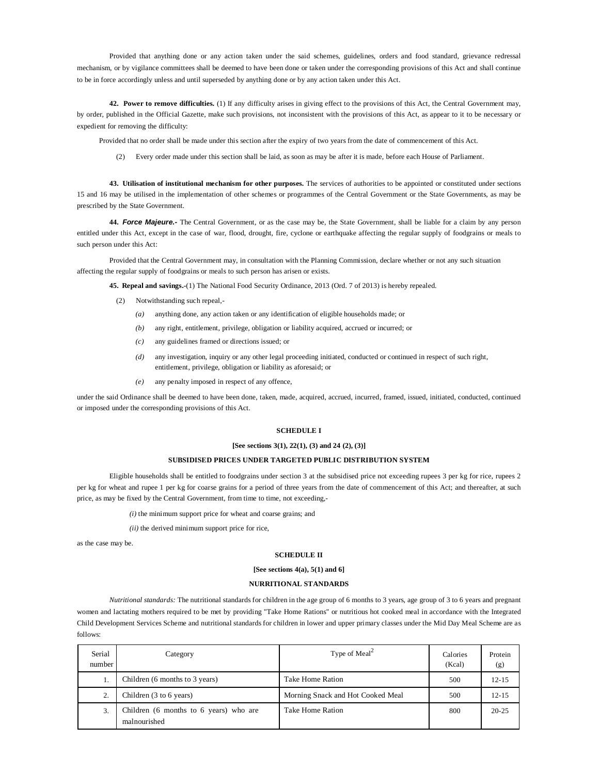Provided that anything done or any action taken under the said schemes, guidelines, orders and food standard, grievance redressal mechanism, or by vigilance committees shall be deemed to have been done or taken under the corresponding provisions of this Act and shall continue to be in force accordingly unless and until superseded by anything done or by any action taken under this Act.

**42. Power to remove difficulties.** (1) If any difficulty arises in giving effect to the provisions of this Act, the Central Government may, by order, published in the Official Gazette, make such provisions, not inconsistent with the provisions of this Act, as appear to it to be necessary or expedient for removing the difficulty:

Provided that no order shall be made under this section after the expiry of two years from the date of commencement of this Act.

(2) Every order made under this section shall be laid, as soon as may be after it is made, before each House of Parliament.

**43. Utilisation of institutional mechanism for other purposes.** The services of authorities to be appointed or constituted under sections 15 and 16 may be utilised in the implementation of other schemes or programmes of the Central Government or the State Governments, as may be prescribed by the State Government.

**44.** *Force Majeure.-* The Central Government, or as the case may be, the State Government, shall be liable for a claim by any person entitled under this Act, except in the case of war, flood, drought, fire, cyclone or earthquake affecting the regular supply of foodgrains or meals to such person under this Act:

Provided that the Central Government may, in consultation with the Planning Commission, declare whether or not any such situation affecting the regular supply of foodgrains or meals to such person has arisen or exists.

**45. Repeal and savings.-**(1) The National Food Security Ordinance, 2013 (Ord. 7 of 2013) is hereby repealed.

- (2) Notwithstanding such repeal,-
	- *(a)* anything done, any action taken or any identification of eligible households made; or
	- *(b)* any right, entitlement, privilege, obligation or liability acquired, accrued or incurred; or
	- *(c)* any guidelines framed or directions issued; or
	- *(d)* any investigation, inquiry or any other legal proceeding initiated, conducted or continued in respect of such right, entitlement, privilege, obligation or liability as aforesaid; or
	- *(e)* any penalty imposed in respect of any offence,

under the said Ordinance shall be deemed to have been done, taken, made, acquired, accrued, incurred, framed, issued, initiated, conducted, continued or imposed under the corresponding provisions of this Act.

#### **SCHEDULE I**

#### **[See sections 3(1), 22(1), (3) and 24 (2), (3)]**

#### **SUBSIDISED PRICES UNDER TARGETED PUBLIC DISTRIBUTION SYSTEM**

Eligible households shall be entitled to foodgrains under section 3 at the subsidised price not exceeding rupees 3 per kg for rice, rupees 2 per kg for wheat and rupee 1 per kg for coarse grains for a period of three years from the date of commencement of this Act; and thereafter, at such price, as may be fixed by the Central Government, from time to time, not exceeding,-

*(i)* the minimum support price for wheat and coarse grains; and

*(ii)* the derived minimum support price for rice,

as the case may be.

#### **SCHEDULE II**

#### **[See sections 4(a), 5(1) and 6]**

#### **NURRITIONAL STANDARDS**

*Nutritional standards:* The nutritional standards for children in the age group of 6 months to 3 years, age group of 3 to 6 years and pregnant women and lactating mothers required to be met by providing "Take Home Rations" or nutritious hot cooked meal in accordance with the Integrated Child Development Services Scheme and nutritional standards for children in lower and upper primary classes under the Mid Day Meal Scheme are as follows:

| Serial<br>number | Category                                               | Type of Meal <sup>2</sup>         | Calories<br>(Kcal) | Protein<br>(g) |
|------------------|--------------------------------------------------------|-----------------------------------|--------------------|----------------|
|                  | Children (6 months to 3 years)                         | Take Home Ration                  | 500                | 12-15          |
| $\gamma$         | Children $(3 \text{ to } 6 \text{ years})$             | Morning Snack and Hot Cooked Meal | 500                | 12-15          |
| 3.               | Children (6 months to 6 years) who are<br>malnourished | Take Home Ration                  | 800                | $20 - 25$      |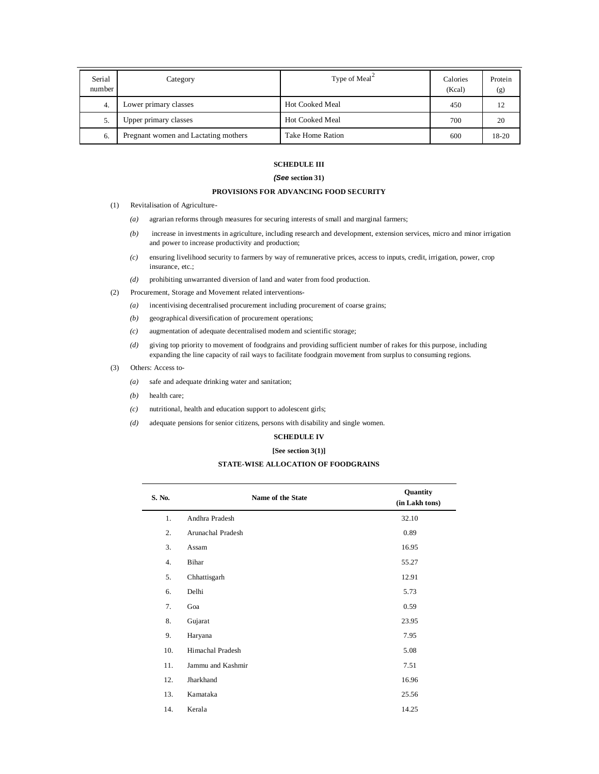| Serial<br>number | Category                             | Type of Meal <sup>2</sup> | Calories<br>(Kcal) | Protein<br>(g) |
|------------------|--------------------------------------|---------------------------|--------------------|----------------|
| 4.               | Lower primary classes                | <b>Hot Cooked Meal</b>    | 450                |                |
| 5.               | Upper primary classes                | <b>Hot Cooked Meal</b>    | 700                | 20             |
| 6.               | Pregnant women and Lactating mothers | Take Home Ration          | 600                | 18-20          |

# **SCHEDULE III**

# *(See* **section 31)**

# **PROVISIONS FOR ADVANCING FOOD SECURITY**

- (1) Revitalisation of Agriculture-
	- *(a)* agrarian reforms through measures for securing interests of small and marginal farmers;
	- *(b)* increase in investments in agriculture, including research and development, extension services, micro and minor irrigation and power to increase productivity and production;
	- *(c)* ensuring livelihood security to farmers by way of remunerative prices, access to inputs, credit, irrigation, power, crop insurance, etc.;
	- *(d)* prohibiting unwarranted diversion of land and water from food production.
- (2) Procurement, Storage and Movement related interventions-
	- *(a)* incentivising decentralised procurement including procurement of coarse grains;
	- *(b)* geographical diversification of procurement operations;
	- *(c)* augmentation of adequate decentralised modem and scientific storage;
	- *(d)* giving top priority to movement of foodgrains and providing sufficient number of rakes for this purpose, including expanding the line capacity of rail ways to facilitate foodgrain movement from surplus to consuming regions.
- (3) Others: Access to-
	- *(a)* safe and adequate drinking water and sanitation;
	- *(b)* health care;
	- *(c)* nutritional, health and education support to adolescent girls;
	- *(d)* adequate pensions for senior citizens, persons with disability and single women.

# **SCHEDULE IV**

# **[See section 3(1)]**

# **STATE-WISE ALLOCATION OF FOODGRAINS**

| S. No. | Name of the State | Quantity<br>(in Lakh tons) |
|--------|-------------------|----------------------------|
| 1.     | Andhra Pradesh    | 32.10                      |
| 2.     | Arunachal Pradesh | 0.89                       |
| 3.     | Assam             | 16.95                      |
| 4.     | Bihar             | 55.27                      |
| 5.     | Chhattisgarh      | 12.91                      |
| 6.     | Delhi             | 5.73                       |
| 7.     | Goa               | 0.59                       |
| 8.     | Gujarat           | 23.95                      |
| 9.     | Haryana           | 7.95                       |
| 10.    | Himachal Pradesh  | 5.08                       |
| 11.    | Jammu and Kashmir | 7.51                       |
| 12.    | Jharkhand         | 16.96                      |
| 13.    | Kamataka          | 25.56                      |
| 14.    | Kerala            | 14.25                      |